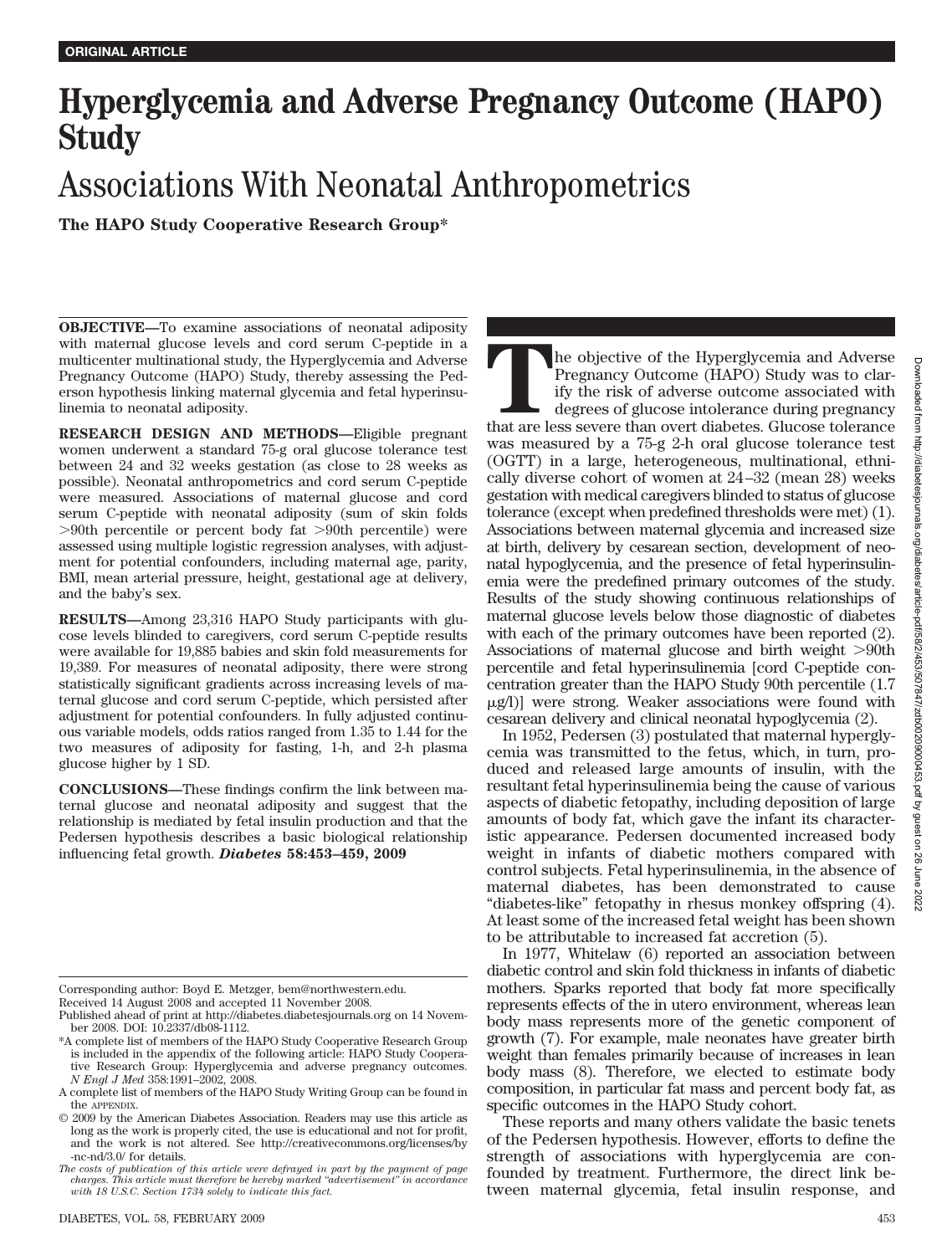## **Hyperglycemia and Adverse Pregnancy Outcome (HAPO) Study**

# Associations With Neonatal Anthropometrics

**The HAPO Study Cooperative Research Group\***

**OBJECTIVE—**To examine associations of neonatal adiposity with maternal glucose levels and cord serum C-peptide in a multicenter multinational study, the Hyperglycemia and Adverse Pregnancy Outcome (HAPO) Study, thereby assessing the Pederson hypothesis linking maternal glycemia and fetal hyperinsulinemia to neonatal adiposity.

**RESEARCH DESIGN AND METHODS—**Eligible pregnant women underwent a standard 75-g oral glucose tolerance test between 24 and 32 weeks gestation (as close to 28 weeks as possible). Neonatal anthropometrics and cord serum C-peptide were measured. Associations of maternal glucose and cord serum C-peptide with neonatal adiposity (sum of skin folds 90th percentile or percent body fat 90th percentile) were assessed using multiple logistic regression analyses, with adjustment for potential confounders, including maternal age, parity, BMI, mean arterial pressure, height, gestational age at delivery, and the baby's sex.

**RESULTS—**Among 23,316 HAPO Study participants with glucose levels blinded to caregivers, cord serum C-peptide results were available for 19,885 babies and skin fold measurements for 19,389. For measures of neonatal adiposity, there were strong statistically significant gradients across increasing levels of maternal glucose and cord serum C-peptide, which persisted after adjustment for potential confounders. In fully adjusted continuous variable models, odds ratios ranged from 1.35 to 1.44 for the two measures of adiposity for fasting, 1-h, and 2-h plasma glucose higher by 1 SD.

**CONCLUSIONS—**These findings confirm the link between maternal glucose and neonatal adiposity and suggest that the relationship is mediated by fetal insulin production and that the Pedersen hypothesis describes a basic biological relationship influencing fetal growth. *Diabetes* **58:453–459, 2009**

Received 14 August 2008 and accepted 11 November 2008.

The objective of the Hyperglycemia and Adverse<br>
Pregnancy Outcome (HAPO) Study was to clar-<br>
ify the risk of adverse outcome associated with<br>
degrees of glucose intolerance during pregnancy<br>
that are less severe than overt Pregnancy Outcome (HAPO) Study was to clarify the risk of adverse outcome associated with degrees of glucose intolerance during pregnancy was measured by a 75-g 2-h oral glucose tolerance test (OGTT) in a large, heterogeneous, multinational, ethnically diverse cohort of women at 24–32 (mean 28) weeks gestation with medical caregivers blinded to status of glucose tolerance (except when predefined thresholds were met) (1). Associations between maternal glycemia and increased size at birth, delivery by cesarean section, development of neonatal hypoglycemia, and the presence of fetal hyperinsulinemia were the predefined primary outcomes of the study. Results of the study showing continuous relationships of maternal glucose levels below those diagnostic of diabetes with each of the primary outcomes have been reported (2). Associations of maternal glucose and birth weight  $>90$ th percentile and fetal hyperinsulinemia [cord C-peptide concentration greater than the HAPO Study 90th percentile (1.7 -g/l)] were strong. Weaker associations were found with cesarean delivery and clinical neonatal hypoglycemia (2).

In 1952, Pedersen (3) postulated that maternal hyperglycemia was transmitted to the fetus, which, in turn, produced and released large amounts of insulin, with the resultant fetal hyperinsulinemia being the cause of various aspects of diabetic fetopathy, including deposition of large amounts of body fat, which gave the infant its characteristic appearance. Pedersen documented increased body weight in infants of diabetic mothers compared with control subjects. Fetal hyperinsulinemia, in the absence of maternal diabetes, has been demonstrated to cause "diabetes-like" fetopathy in rhesus monkey offspring (4). At least some of the increased fetal weight has been shown to be attributable to increased fat accretion (5).

In 1977, Whitelaw (6) reported an association between diabetic control and skin fold thickness in infants of diabetic mothers. Sparks reported that body fat more specifically represents effects of the in utero environment, whereas lean body mass represents more of the genetic component of growth (7). For example, male neonates have greater birth weight than females primarily because of increases in lean body mass (8). Therefore, we elected to estimate body composition, in particular fat mass and percent body fat, as specific outcomes in the HAPO Study cohort.

These reports and many others validate the basic tenets of the Pedersen hypothesis. However, efforts to define the strength of associations with hyperglycemia are confounded by treatment. Furthermore, the direct link between maternal glycemia, fetal insulin response, and

Corresponding author: Boyd E. Metzger, bem@northwestern.edu.

Published ahead of print at http://diabetes.diabetesjournals.org on 14 November 2008. DOI: 10.2337/db08-1112.

<sup>\*</sup>A complete list of members of the HAPO Study Cooperative Research Group is included in the appendix of the following article: HAPO Study Cooperative Research Group: Hyperglycemia and adverse pregnancy outcomes. *N Engl J Med* 358:1991–2002, 2008.

A complete list of members of the HAPO Study Writing Group can be found in the APPENDIX.

<sup>© 2009</sup> by the American Diabetes Association. Readers may use this article as long as the work is properly cited, the use is educational and not for profit, and the work is not altered. See http://creativecommons.org/licenses/by -nc-nd/3.0/ for details.

*The costs of publication of this article were defrayed in part by the payment of page charges. This article must therefore be hereby marked "advertisement" in accordance with 18 U.S.C. Section 1734 solely to indicate this fact.*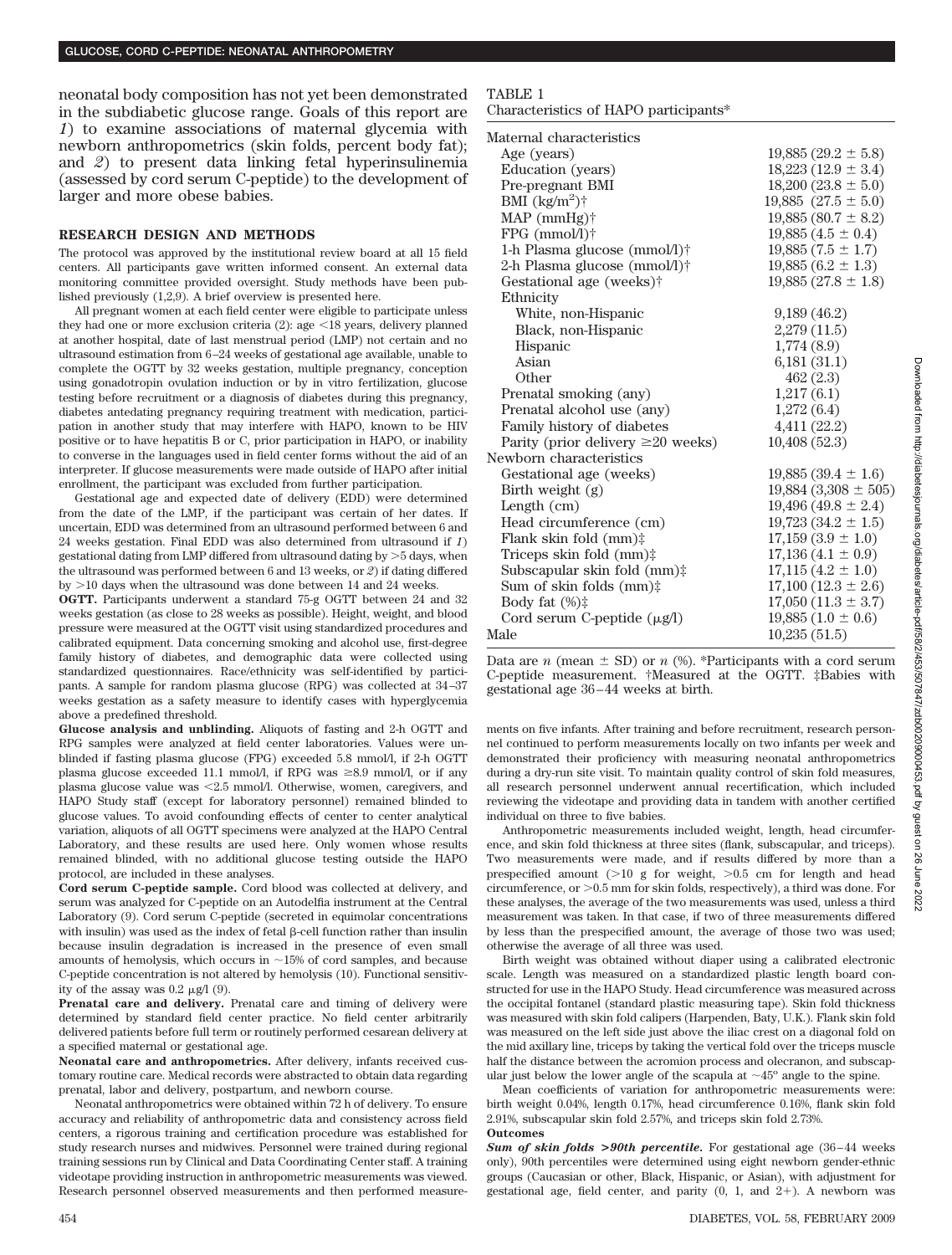neonatal body composition has not yet been demonstrated in the subdiabetic glucose range. Goals of this report are *1*) to examine associations of maternal glycemia with newborn anthropometrics (skin folds, percent body fat); and *2*) to present data linking fetal hyperinsulinemia (assessed by cord serum C-peptide) to the development of larger and more obese babies.

#### **RESEARCH DESIGN AND METHODS**

The protocol was approved by the institutional review board at all 15 field centers. All participants gave written informed consent. An external data monitoring committee provided oversight. Study methods have been published previously (1,2,9). A brief overview is presented here.

All pregnant women at each field center were eligible to participate unless they had one or more exclusion criteria  $(2)$ : age  $\leq 18$  years, delivery planned at another hospital, date of last menstrual period (LMP) not certain and no ultrasound estimation from 6–24 weeks of gestational age available, unable to complete the OGTT by 32 weeks gestation, multiple pregnancy, conception using gonadotropin ovulation induction or by in vitro fertilization, glucose testing before recruitment or a diagnosis of diabetes during this pregnancy, diabetes antedating pregnancy requiring treatment with medication, participation in another study that may interfere with HAPO, known to be HIV positive or to have hepatitis B or C, prior participation in HAPO, or inability to converse in the languages used in field center forms without the aid of an interpreter. If glucose measurements were made outside of HAPO after initial enrollment, the participant was excluded from further participation.

Gestational age and expected date of delivery (EDD) were determined from the date of the LMP, if the participant was certain of her dates. If uncertain, EDD was determined from an ultrasound performed between 6 and 24 weeks gestation. Final EDD was also determined from ultrasound if *1*) gestational dating from LMP differed from ultrasound dating by  $>5$  days, when the ultrasound was performed between 6 and 13 weeks, or *2*) if dating differed by  $>$ 10 days when the ultrasound was done between 14 and 24 weeks.

**OGTT.** Participants underwent a standard 75-g OGTT between 24 and 32 weeks gestation (as close to 28 weeks as possible). Height, weight, and blood pressure were measured at the OGTT visit using standardized procedures and calibrated equipment. Data concerning smoking and alcohol use, first-degree family history of diabetes, and demographic data were collected using standardized questionnaires. Race/ethnicity was self-identified by participants. A sample for random plasma glucose (RPG) was collected at 34–37 weeks gestation as a safety measure to identify cases with hyperglycemia above a predefined threshold.

**Glucose analysis and unblinding.** Aliquots of fasting and 2-h OGTT and RPG samples were analyzed at field center laboratories. Values were unblinded if fasting plasma glucose (FPG) exceeded 5.8 mmol/l, if 2-h OGTT plasma glucose exceeded 11.1 mmol/l, if RPG was  $\geq 8.9$  mmol/l, or if any plasma glucose value was 2.5 mmol/l. Otherwise, women, caregivers, and HAPO Study staff (except for laboratory personnel) remained blinded to glucose values. To avoid confounding effects of center to center analytical variation, aliquots of all OGTT specimens were analyzed at the HAPO Central Laboratory, and these results are used here. Only women whose results remained blinded, with no additional glucose testing outside the HAPO protocol, are included in these analyses.

**Cord serum C-peptide sample.** Cord blood was collected at delivery, and serum was analyzed for C-peptide on an Autodelfia instrument at the Central Laboratory (9). Cord serum C-peptide (secreted in equimolar concentrations with insulin) was used as the index of fetal  $\beta$ -cell function rather than insulin because insulin degradation is increased in the presence of even small amounts of hemolysis, which occurs in  $\sim$ 15% of cord samples, and because C-peptide concentration is not altered by hemolysis (10). Functional sensitivity of the assay was  $0.2 \mu g/1$  (9).

Prenatal care and delivery. Prenatal care and timing of delivery were determined by standard field center practice. No field center arbitrarily delivered patients before full term or routinely performed cesarean delivery at a specified maternal or gestational age.

**Neonatal care and anthropometrics.** After delivery, infants received customary routine care. Medical records were abstracted to obtain data regarding prenatal, labor and delivery, postpartum, and newborn course.

Neonatal anthropometrics were obtained within 72 h of delivery. To ensure accuracy and reliability of anthropometric data and consistency across field centers, a rigorous training and certification procedure was established for study research nurses and midwives. Personnel were trained during regional training sessions run by Clinical and Data Coordinating Center staff. A training videotape providing instruction in anthropometric measurements was viewed. Research personnel observed measurements and then performed measure-

### TABLE 1

Characteristics of HAPO participants\*

| Maternal characteristics                |                            |
|-----------------------------------------|----------------------------|
| Age (years)                             | $19,885(29.2 \pm 5.8)$     |
| Education (years)                       | $18,223(12.9 \pm 3.4)$     |
| Pre-pregnant BMI                        | $18,200(23.8 \pm 5.0)$     |
| BMI $(kg/m^2)$ †                        | 19,885 $(27.5 \pm 5.0)$    |
| $MAP$ (mmHg) $\dagger$                  | $19,885(80.7 \pm 8.2)$     |
| $FPG$ (mmol/l) $\dagger$                | $19,885(4.5 \pm 0.4)$      |
| 1-h Plasma glucose (mmol/l)†            | $19,885(7.5 \pm 1.7)$      |
| 2-h Plasma glucose (mmol/l)†            | $19,885(6.2 \pm 1.3)$      |
| Gestational age (weeks)†                | $19,885(27.8 \pm 1.8)$     |
| Ethnicity                               |                            |
| White, non-Hispanic                     | 9,189(46.2)                |
| Black, non-Hispanic                     | 2,279 (11.5)               |
| Hispanic                                | 1,774(8.9)                 |
| Asian                                   | 6,181(31.1)                |
| Other                                   | 462(2.3)                   |
| Prenatal smoking (any)                  | 1,217(6.1)                 |
| Prenatal alcohol use (any)              | 1,272(6.4)                 |
| Family history of diabetes              | 4,411(22.2)                |
| Parity (prior delivery $\geq 20$ weeks) | 10,408(52.3)               |
| Newborn characteristics                 |                            |
| Gestational age (weeks)                 | $19,885(39.4 \pm 1.6)$     |
| Birth weight $(g)$                      | $19,884$ $(3,308 \pm 505)$ |
| Length (cm)                             | $19,496(49.8 \pm 2.4)$     |
| Head circumference (cm)                 | $19,723(34.2 \pm 1.5)$     |
| Flank skin fold $(mm)$ :                | $17,159(3.9 \pm 1.0)$      |
| Triceps skin fold (mm)‡                 | $17,136(4.1 \pm 0.9)$      |
| Subscapular skin fold (mm):             | $17,115(4.2 \pm 1.0)$      |
| Sum of skin folds $(mm)$ :              | $17,100$ $(12.3 \pm 2.6)$  |
| Body fat $(\%)\ddagger$                 | $17,050$ $(11.3 \pm 3.7)$  |
| Cord serum C-peptide $(\mu g/l)$        | $19,885(1.0 \pm 0.6)$      |
| Male                                    | 10.235(51.5)               |

Data are *n* (mean  $\pm$  SD) or *n* (%). \*Participants with a cord serum C-peptide measurement. †Measured at the OGTT. ‡Babies with gestational age 36–44 weeks at birth.

ments on five infants. After training and before recruitment, research personnel continued to perform measurements locally on two infants per week and demonstrated their proficiency with measuring neonatal anthropometrics during a dry-run site visit. To maintain quality control of skin fold measures, all research personnel underwent annual recertification, which included reviewing the videotape and providing data in tandem with another certified individual on three to five babies.

Anthropometric measurements included weight, length, head circumference, and skin fold thickness at three sites (flank, subscapular, and triceps). Two measurements were made, and if results differed by more than a prespecified amount  $(>10$  g for weight,  $>0.5$  cm for length and head circumference, or  $>0.5$  mm for skin folds, respectively), a third was done. For these analyses, the average of the two measurements was used, unless a third measurement was taken. In that case, if two of three measurements differed by less than the prespecified amount, the average of those two was used; otherwise the average of all three was used.

Birth weight was obtained without diaper using a calibrated electronic scale. Length was measured on a standardized plastic length board constructed for use in the HAPO Study. Head circumference was measured across the occipital fontanel (standard plastic measuring tape). Skin fold thickness was measured with skin fold calipers (Harpenden, Baty, U.K.). Flank skin fold was measured on the left side just above the iliac crest on a diagonal fold on the mid axillary line, triceps by taking the vertical fold over the triceps muscle half the distance between the acromion process and olecranon, and subscapular just below the lower angle of the scapula at  $\sim 45^{\circ}$  angle to the spine.

Mean coefficients of variation for anthropometric measurements were: birth weight 0.04%, length 0.17%, head circumference 0.16%, flank skin fold 2.91%, subscapular skin fold 2.57%, and triceps skin fold 2.73%. **Outcomes**

*Sum of skin folds* **>***90th percentile.* For gestational age (36–44 weeks only), 90th percentiles were determined using eight newborn gender-ethnic groups (Caucasian or other, Black, Hispanic, or Asian), with adjustment for gestational age, field center, and parity  $(0, 1, 1)$  and  $2+$ ). A newborn was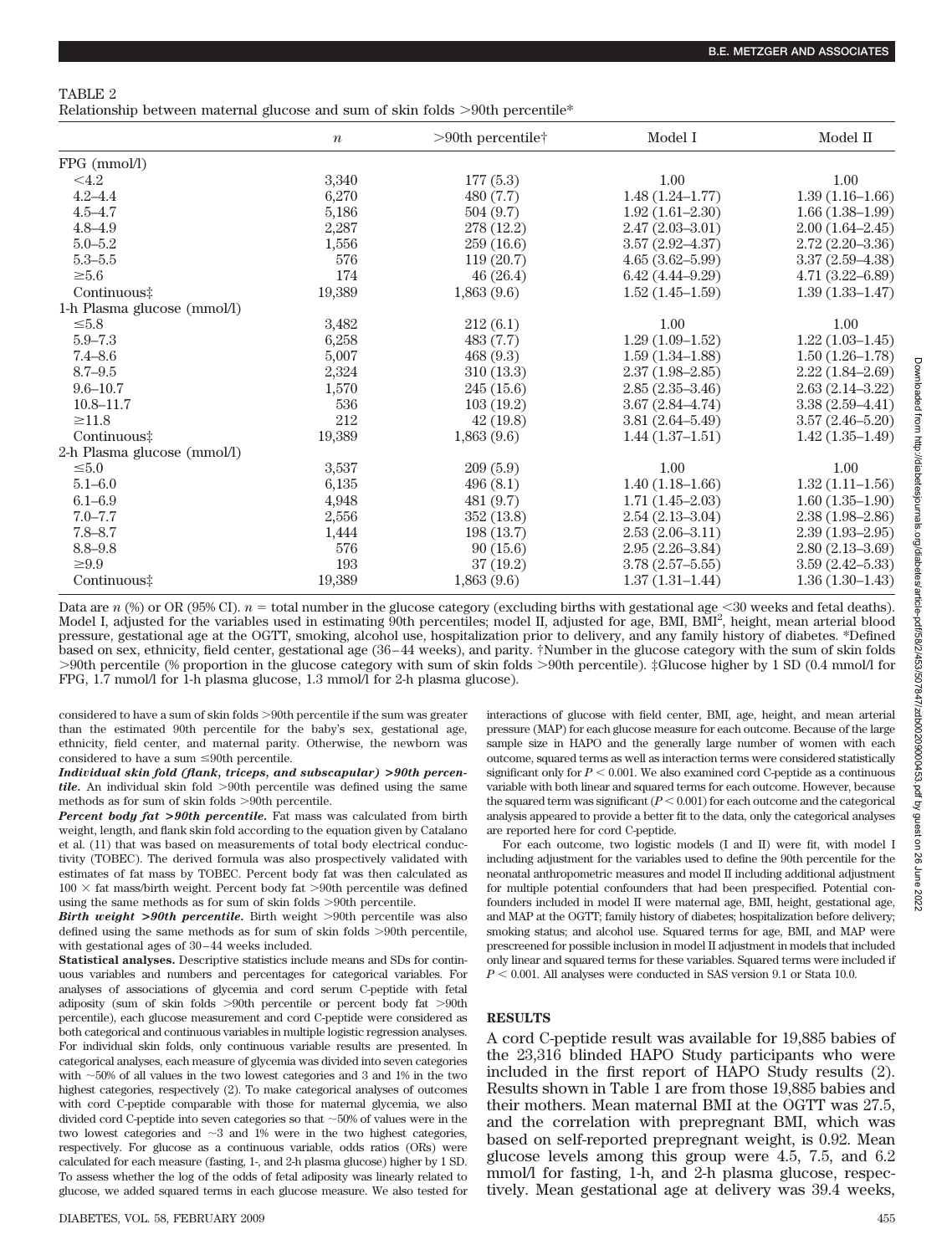| TABLE | $\epsilon$ |
|-------|------------|
|-------|------------|

Relationship between maternal glucose and sum of skin folds  $>90$ th percentile\*

|                             | $\boldsymbol{n}$ | $>90$ th percentile† | Model I             | Model II            |
|-----------------------------|------------------|----------------------|---------------------|---------------------|
| FPG (mmol/l)                |                  |                      |                     |                     |
| $<$ 4.2                     | 3,340            | 177(5.3)             | 1.00                | 1.00                |
| $4.2 - 4.4$                 | 6,270            | 480 (7.7)            | $1.48(1.24 - 1.77)$ | $1.39(1.16-1.66)$   |
| $4.5 - 4.7$                 | 5,186            | 504 (9.7)            | $1.92(1.61 - 2.30)$ | $1.66(1.38-1.99)$   |
| $4.8 - 4.9$                 | 2,287            | 278 (12.2)           | $2.47(2.03 - 3.01)$ | $2.00(1.64 - 2.45)$ |
| $5.0 - 5.2$                 | 1,556            | 259 (16.6)           | $3.57(2.92 - 4.37)$ | $2.72(2.20-3.36)$   |
| $5.3 - 5.5$                 | 576              | 119(20.7)            | $4.65(3.62 - 5.99)$ | $3.37(2.59 - 4.38)$ |
| $\geq 5.6$                  | 174              | 46(26.4)             | $6.42(4.44 - 9.29)$ | $4.71(3.22 - 6.89)$ |
| Continuous‡                 | 19,389           | 1,863(9.6)           | $1.52(1.45-1.59)$   | $1.39(1.33 - 1.47)$ |
| 1-h Plasma glucose (mmol/l) |                  |                      |                     |                     |
| $\leq 5.8$                  | 3,482            | 212(6.1)             | 1.00                | 1.00                |
| $5.9 - 7.3$                 | 6,258            | 483(7.7)             | $1.29(1.09-1.52)$   | $1.22(1.03-1.45)$   |
| $7.4 - 8.6$                 | 5,007            | 468(9.3)             | $1.59(1.34 - 1.88)$ | $1.50(1.26-1.78)$   |
| $8.7 - 9.5$                 | 2,324            | 310(13.3)            | $2.37(1.98 - 2.85)$ | $2.22(1.84 - 2.69)$ |
| $9.6 - 10.7$                | 1,570            | 245(15.6)            | $2.85(2.35-3.46)$   | $2.63(2.14-3.22)$   |
| $10.8 - 11.7$               | 536              | 103(19.2)            | $3.67(2.84 - 4.74)$ | $3.38(2.59 - 4.41)$ |
| $\geq$ 11.8                 | 212              | 42(19.8)             | $3.81(2.64 - 5.49)$ | $3.57(2.46 - 5.20)$ |
| Continuous‡                 | 19,389           | 1,863(9.6)           | $1.44(1.37-1.51)$   | $1.42(1.35-1.49)$   |
| 2-h Plasma glucose (mmol/l) |                  |                      |                     |                     |
| $\leq 5.0$                  | 3,537            | 209(5.9)             | 1.00                | 1.00                |
| $5.1 - 6.0$                 | 6,135            | 496(8.1)             | $1.40(1.18-1.66)$   | $1.32(1.11-1.56)$   |
| $6.1 - 6.9$                 | 4,948            | 481 (9.7)            | $1.71(1.45-2.03)$   | $1.60(1.35-1.90)$   |
| $7.0 - 7.7$                 | 2,556            | 352 (13.8)           | $2.54(2.13-3.04)$   | $2.38(1.98 - 2.86)$ |
| $7.8 - 8.7$                 | 1,444            | 198(13.7)            | $2.53(2.06 - 3.11)$ | $2.39(1.93-2.95)$   |
| $8.8 - 9.8$                 | 576              | 90(15.6)             | $2.95(2.26 - 3.84)$ | $2.80(2.13 - 3.69)$ |
| $\geq 9.9$                  | 193              | 37(19.2)             | $3.78(2.57 - 5.55)$ | $3.59(2.42 - 5.33)$ |
| Continuous‡                 | 19,389           | 1,863(9.6)           | $1.37(1.31-1.44)$   | $1.36(1.30-1.43)$   |

Data are *n* (%) or OR (95% CI).  $n =$  total number in the glucose category (excluding births with gestational age  $\leq$ 30 weeks and fetal deaths). Model I, adjusted for the variables used in estimating 90th percentiles; model II, adjusted for age, BMI, BMI<sup>2</sup>, height, mean arterial blood pressure, gestational age at the OGTT, smoking, alcohol use, hospitalization prior to delivery, and any family history of diabetes. \*Defined based on sex, ethnicity, field center, gestational age (36–44 weeks), and parity. †Number in the glucose category with the sum of skin folds 90th percentile (% proportion in the glucose category with sum of skin folds 90th percentile). ‡Glucose higher by 1 SD (0.4 mmol/l for FPG, 1.7 mmol/l for 1-h plasma glucose, 1.3 mmol/l for 2-h plasma glucose).

considered to have a sum of skin folds >90th percentile if the sum was greater than the estimated 90th percentile for the baby's sex, gestational age, ethnicity, field center, and maternal parity. Otherwise, the newborn was considered to have a sum  $\leq 90$ th percentile.

*Individual skin fold (flank, triceps, and subscapular)* **>***90th percentile.* An individual skin fold >90th percentile was defined using the same methods as for sum of skin folds >90th percentile.

*Percent body fat* **>***90th percentile.* Fat mass was calculated from birth weight, length, and flank skin fold according to the equation given by Catalano et al. (11) that was based on measurements of total body electrical conductivity (TOBEC). The derived formula was also prospectively validated with estimates of fat mass by TOBEC. Percent body fat was then calculated as  $100 \times$  fat mass/birth weight. Percent body fat >90th percentile was defined using the same methods as for sum of skin folds >90th percentile.

*Birth weight* >90th percentile. Birth weight  $>90$ th percentile was also defined using the same methods as for sum of skin folds >90th percentile, with gestational ages of 30–44 weeks included.

**Statistical analyses.** Descriptive statistics include means and SDs for continuous variables and numbers and percentages for categorical variables. For analyses of associations of glycemia and cord serum C-peptide with fetal adiposity (sum of skin folds >90th percentile or percent body fat >90th percentile), each glucose measurement and cord C-peptide were considered as both categorical and continuous variables in multiple logistic regression analyses. For individual skin folds, only continuous variable results are presented. In categorical analyses, each measure of glycemia was divided into seven categories with  $\sim$  50% of all values in the two lowest categories and 3 and 1% in the two highest categories, respectively (2). To make categorical analyses of outcomes with cord C-peptide comparable with those for maternal glycemia, we also divided cord C-peptide into seven categories so that  ${\sim}50\%$  of values were in the two lowest categories and  $\sim$ 3 and 1% were in the two highest categories, respectively. For glucose as a continuous variable, odds ratios (ORs) were calculated for each measure (fasting, 1-, and 2-h plasma glucose) higher by 1 SD. To assess whether the log of the odds of fetal adiposity was linearly related to glucose, we added squared terms in each glucose measure. We also tested for interactions of glucose with field center, BMI, age, height, and mean arterial pressure (MAP) for each glucose measure for each outcome. Because of the large sample size in HAPO and the generally large number of women with each outcome, squared terms as well as interaction terms were considered statistically significant only for  $P < 0.001$ . We also examined cord C-peptide as a continuous variable with both linear and squared terms for each outcome. However, because the squared term was significant  $(P < 0.001)$  for each outcome and the categorical analysis appeared to provide a better fit to the data, only the categorical analyses are reported here for cord C-peptide.

For each outcome, two logistic models (I and II) were fit, with model I including adjustment for the variables used to define the 90th percentile for the neonatal anthropometric measures and model II including additional adjustment for multiple potential confounders that had been prespecified. Potential confounders included in model II were maternal age, BMI, height, gestational age, and MAP at the OGTT; family history of diabetes; hospitalization before delivery; smoking status; and alcohol use. Squared terms for age, BMI, and MAP were prescreened for possible inclusion in model II adjustment in models that included only linear and squared terms for these variables. Squared terms were included if  $P < 0.001$ . All analyses were conducted in SAS version 9.1 or Stata 10.0.

#### **RESULTS**

A cord C-peptide result was available for 19,885 babies of the 23,316 blinded HAPO Study participants who were included in the first report of HAPO Study results (2). Results shown in Table 1 are from those 19,885 babies and their mothers. Mean maternal BMI at the OGTT was 27.5, and the correlation with prepregnant BMI, which was based on self-reported prepregnant weight, is 0.92. Mean glucose levels among this group were 4.5, 7.5, and 6.2 mmol/l for fasting, 1-h, and 2-h plasma glucose, respectively. Mean gestational age at delivery was 39.4 weeks,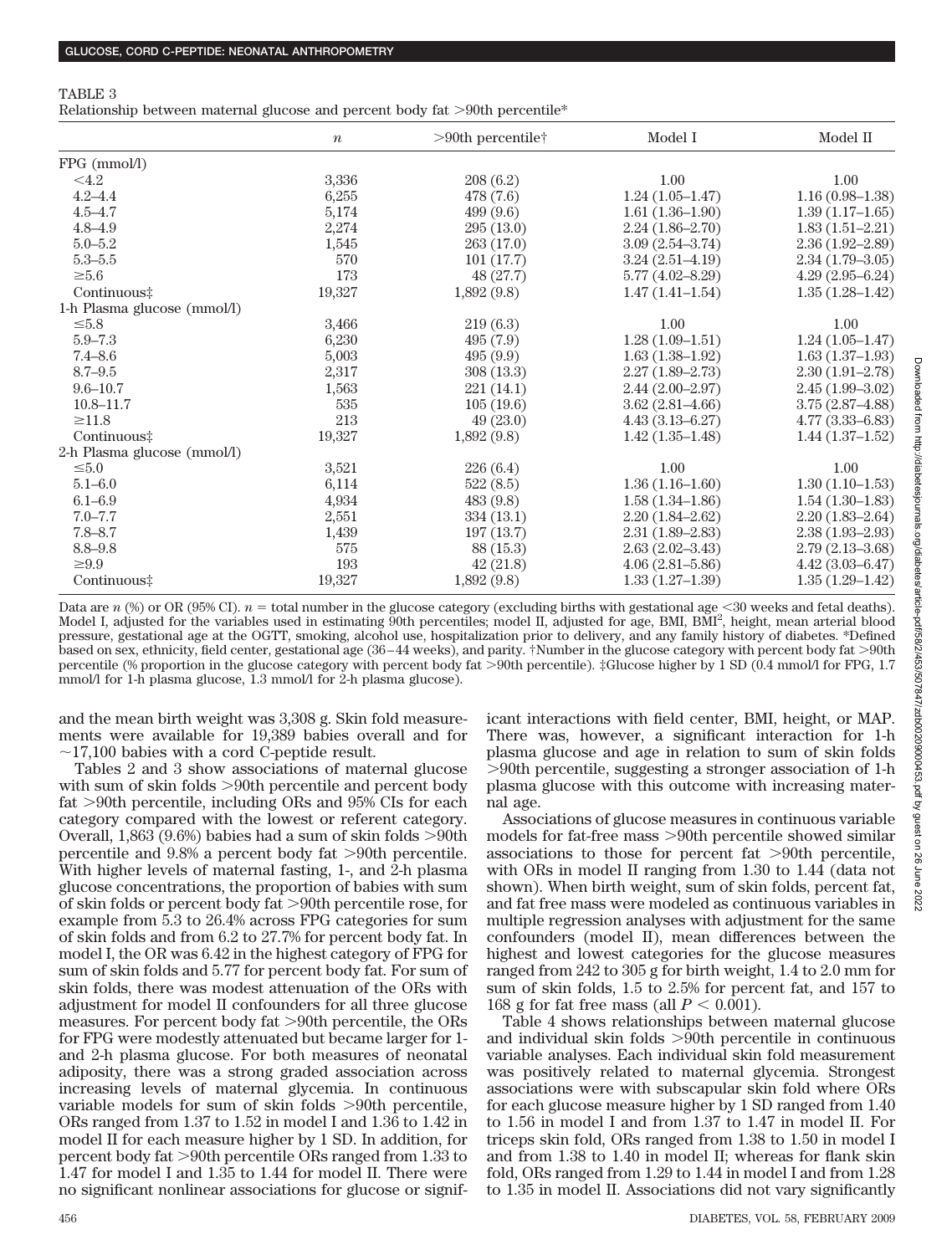Relationship between maternal glucose and percent body fat  $>90$ th percentile\*

|                             | $\boldsymbol{n}$ | $>90$ th percentile† | Model I             | Model II            |
|-----------------------------|------------------|----------------------|---------------------|---------------------|
| FPG (mmol/l)                |                  |                      |                     |                     |
| < 4.2                       | 3,336            | 208(6.2)             | 1.00                | 1.00                |
| $4.2 - 4.4$                 | 6,255            | 478 (7.6)            | $1.24(1.05-1.47)$   | $1.16(0.98-1.38)$   |
| $4.5 - 4.7$                 | 5,174            | 499(9.6)             | $1.61(1.36-1.90)$   | $1.39(1.17-1.65)$   |
| $4.8 - 4.9$                 | 2,274            | 295(13.0)            | $2.24(1.86-2.70)$   | $1.83(1.51-2.21)$   |
| $5.0 - 5.2$                 | 1,545            | 263 (17.0)           | $3.09(2.54 - 3.74)$ | $2.36(1.92 - 2.89)$ |
| $5.3 - 5.5$                 | 570              | 101(17.7)            | $3.24(2.51-4.19)$   | $2.34(1.79-3.05)$   |
| $\geq 5.6$                  | 173              | 48(27.7)             | $5.77(4.02 - 8.29)$ | $4.29(2.95-6.24)$   |
| Continuous‡                 | 19,327           | 1,892(9.8)           | $1.47(1.41-1.54)$   | $1.35(1.28-1.42)$   |
| 1-h Plasma glucose (mmol/l) |                  |                      |                     |                     |
| $\leq 5.8$                  | 3,466            | 219(6.3)             | 1.00                | 1.00                |
| $5.9 - 7.3$                 | 6,230            | 495(7.9)             | $1.28(1.09-1.51)$   | $1.24(1.05-1.47)$   |
| $7.4 - 8.6$                 | 5,003            | 495(9.9)             | $1.63(1.38-1.92)$   | $1.63(1.37-1.93)$   |
| $8.7 - 9.5$                 | 2,317            | 308(13.3)            | $2.27(1.89 - 2.73)$ | $2.30(1.91 - 2.78)$ |
| $9.6 - 10.7$                | 1,563            | 221(14.1)            | $2.44(2.00-2.97)$   | $2.45(1.99-3.02)$   |
| $10.8 - 11.7$               | 535              | 105(19.6)            | $3.62(2.81 - 4.66)$ | $3.75(2.87-4.88)$   |
| $\geq$ 11.8                 | 213              | 49(23.0)             | $4.43(3.13 - 6.27)$ | $4.77(3.33 - 6.83)$ |
| Continuous‡                 | 19,327           | 1,892(9.8)           | $1.42(1.35-1.48)$   | $1.44(1.37-1.52)$   |
| 2-h Plasma glucose (mmol/l) |                  |                      |                     |                     |
| $\leq 5.0$                  | 3,521            | 226(6.4)             | 1.00                | 1.00                |
| $5.1 - 6.0$                 | 6,114            | 522(8.5)             | $1.36(1.16-1.60)$   | $1.30(1.10-1.53)$   |
| $6.1 - 6.9$                 | 4,934            | 483(9.8)             | $1.58(1.34 - 1.86)$ | $1.54(1.30-1.83)$   |
| $7.0 - 7.7$                 | 2,551            | 334 (13.1)           | $2.20(1.84 - 2.62)$ | $2.20(1.83 - 2.64)$ |
| $7.8 - 8.7$                 | 1,439            | 197(13.7)            | $2.31(1.89 - 2.83)$ | $2.38(1.93 - 2.93)$ |
| $8.8 - 9.8$                 | 575              | 88 (15.3)            | $2.63(2.02 - 3.43)$ | $2.79(2.13 - 3.68)$ |
| $\geq 9.9$                  | 193              | 42(21.8)             | $4.06(2.81 - 5.86)$ | $4.42(3.03 - 6.47)$ |
| Continuous‡                 | 19,327           | 1,892(9.8)           | $1.33(1.27-1.39)$   | $1.35(1.29-1.42)$   |

Data are *n* (%) or OR (95% CI).  $n =$  total number in the glucose category (excluding births with gestational age  $\leq$ 30 weeks and fetal deaths). Model I, adjusted for the variables used in estimating 90th percentiles; model II, adjusted for age, BMI, BMI<sup>2</sup>, height, mean arterial blood pressure, gestational age at the OGTT, smoking, alcohol use, hospitalization prior to delivery, and any family history of diabetes. \*Defined based on sex, ethnicity, field center, gestational age (36–44 weeks), and parity. †Number in the glucose category with percent body fat 90th percentile (% proportion in the glucose category with percent body fat 90th percentile). ‡Glucose higher by 1 SD (0.4 mmol/l for FPG, 1.7 mmol/l for 1-h plasma glucose, 1.3 mmol/l for 2-h plasma glucose).

nal age.

and the mean birth weight was 3,308 g. Skin fold measurements were available for 19,389 babies overall and for  $\sim$ 17,100 babies with a cord C-peptide result.

Tables 2 and 3 show associations of maternal glucose with sum of skin folds  $>90$ th percentile and percent body fat  $>90$ th percentile, including ORs and  $95\%$  CIs for each category compared with the lowest or referent category. Overall, 1,863 (9.6%) babies had a sum of skin folds  $>90$ th percentile and  $9.8\%$  a percent body fat  $>90$ th percentile. With higher levels of maternal fasting, 1-, and 2-h plasma glucose concentrations, the proportion of babies with sum of skin folds or percent body fat 90th percentile rose, for example from 5.3 to 26.4% across FPG categories for sum of skin folds and from 6.2 to 27.7% for percent body fat. In model I, the OR was 6.42 in the highest category of FPG for sum of skin folds and 5.77 for percent body fat. For sum of skin folds, there was modest attenuation of the ORs with adjustment for model II confounders for all three glucose measures. For percent body fat >90th percentile, the ORs for FPG were modestly attenuated but became larger for 1 and 2-h plasma glucose. For both measures of neonatal adiposity, there was a strong graded association across increasing levels of maternal glycemia. In continuous variable models for sum of skin folds >90th percentile, ORs ranged from 1.37 to 1.52 in model I and 1.36 to 1.42 in model II for each measure higher by 1 SD. In addition, for percent body fat 90th percentile ORs ranged from 1.33 to 1.47 for model I and 1.35 to 1.44 for model II. There were no significant nonlinear associations for glucose or significant interactions with field center, BMI, height, or MAP. There was, however, a significant interaction for 1-h plasma glucose and age in relation to sum of skin folds 90th percentile, suggesting a stronger association of 1-h plasma glucose with this outcome with increasing mater-

Associations of glucose measures in continuous variable models for fat-free mass >90th percentile showed similar associations to those for percent fat  $>90$ th percentile, with ORs in model II ranging from 1.30 to 1.44 (data not shown). When birth weight, sum of skin folds, percent fat, and fat free mass were modeled as continuous variables in multiple regression analyses with adjustment for the same confounders (model II), mean differences between the highest and lowest categories for the glucose measures ranged from 242 to 305 g for birth weight, 1.4 to 2.0 mm for sum of skin folds, 1.5 to 2.5% for percent fat, and 157 to 168 g for fat free mass (all  $P < 0.001$ ).

Table 4 shows relationships between maternal glucose and individual skin folds  $>90$ th percentile in continuous variable analyses. Each individual skin fold measurement was positively related to maternal glycemia. Strongest associations were with subscapular skin fold where ORs for each glucose measure higher by 1 SD ranged from 1.40 to 1.56 in model I and from 1.37 to 1.47 in model II. For triceps skin fold, ORs ranged from 1.38 to 1.50 in model I and from 1.38 to 1.40 in model II; whereas for flank skin fold, ORs ranged from 1.29 to 1.44 in model I and from 1.28 to 1.35 in model II. Associations did not vary significantly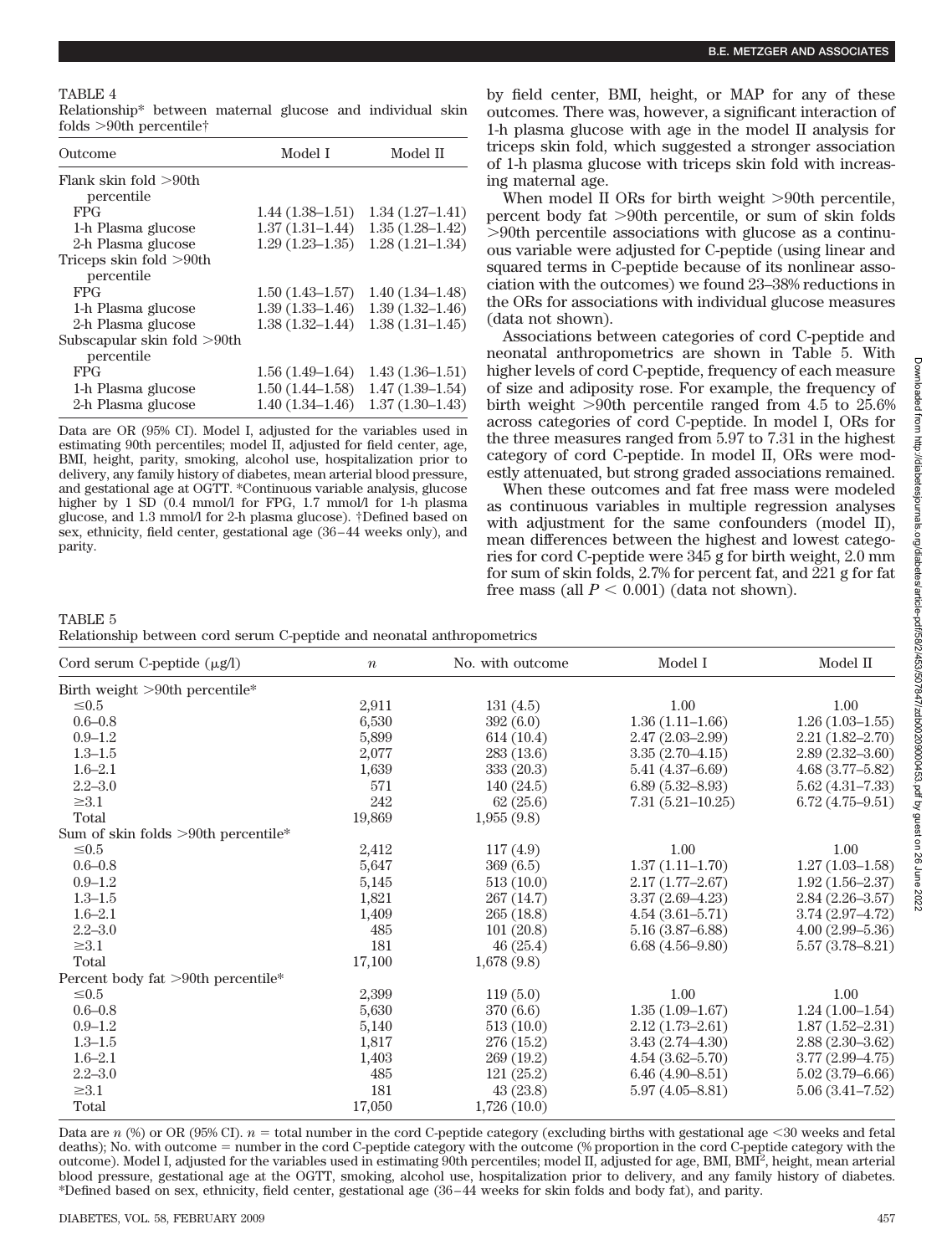#### TABLE 4

Relationship\* between maternal glucose and individual skin folds  $>90$ th percentile†

| Outcome                     | Model I             | Model II            |
|-----------------------------|---------------------|---------------------|
| Flank skin fold $>90$ th    |                     |                     |
| percentile                  |                     |                     |
| <b>FPG</b>                  | $1.44(1.38-1.51)$   | $1.34(1.27-1.41)$   |
| 1-h Plasma glucose          | $1.37(1.31-1.44)$   | $1.35(1.28 - 1.42)$ |
| 2-h Plasma glucose          | $1.29(1.23 - 1.35)$ | $1.28(1.21 - 1.34)$ |
| Triceps skin fold $>90$ th  |                     |                     |
| percentile                  |                     |                     |
| <b>FPG</b>                  | $1.50(1.43 - 1.57)$ | $1.40(1.34 - 1.48)$ |
| 1-h Plasma glucose          | $1.39(1.33 - 1.46)$ | $1.39(1.32 - 1.46)$ |
| 2-h Plasma glucose          | $1.38(1.32 - 1.44)$ | $1.38(1.31 - 1.45)$ |
| Subscapular skin fold >90th |                     |                     |
| percentile                  |                     |                     |
| <b>FPG</b>                  | $1.56(1.49-1.64)$   | $1.43(1.36-1.51)$   |
| 1-h Plasma glucose          | $1.50(1.44 - 1.58)$ | $1.47(1.39-1.54)$   |
| 2-h Plasma glucose          | $1.40(1.34 - 1.46)$ | $1.37(1.30-1.43)$   |

Data are OR (95% CI). Model I, adjusted for the variables used in estimating 90th percentiles; model II, adjusted for field center, age, BMI, height, parity, smoking, alcohol use, hospitalization prior to delivery, any family history of diabetes, mean arterial blood pressure, and gestational age at OGTT. \*Continuous variable analysis, glucose higher by 1 SD (0.4 mmol/l for FPG, 1.7 mmol/l for 1-h plasma glucose, and 1.3 mmol/l for 2-h plasma glucose). †Defined based on sex, ethnicity, field center, gestational age (36–44 weeks only), and parity.

by field center, BMI, height, or MAP for any of these outcomes. There was, however, a significant interaction of 1-h plasma glucose with age in the model II analysis for triceps skin fold, which suggested a stronger association of 1-h plasma glucose with triceps skin fold with increasing maternal age.

When model II ORs for birth weight  $>90$ th percentile, percent body fat 90th percentile, or sum of skin folds 90th percentile associations with glucose as a continuous variable were adjusted for C-peptide (using linear and squared terms in C-peptide because of its nonlinear association with the outcomes) we found 23–38% reductions in the ORs for associations with individual glucose measures (data not shown).

Associations between categories of cord C-peptide and neonatal anthropometrics are shown in Table 5. With higher levels of cord C-peptide, frequency of each measure of size and adiposity rose. For example, the frequency of birth weight  $>90$ th percentile ranged from 4.5 to 25.6% across categories of cord C-peptide. In model I, ORs for the three measures ranged from 5.97 to 7.31 in the highest category of cord C-peptide. In model II, ORs were modestly attenuated, but strong graded associations remained.

When these outcomes and fat free mass were modeled as continuous variables in multiple regression analyses with adjustment for the same confounders (model II), mean differences between the highest and lowest categories for cord C-peptide were 345 g for birth weight, 2.0 mm for sum of skin folds, 2.7% for percent fat, and 221 g for fat free mass (all  $P < 0.001$ ) (data not shown).

TABLE 5 Relationship between cord serum C-peptide and neonatal anthropometrics

| Cord serum C-peptide $(\mu g/l)$       | $\boldsymbol{n}$ | No. with outcome | Model I             | Model II            |
|----------------------------------------|------------------|------------------|---------------------|---------------------|
| Birth weight >90th percentile*         |                  |                  |                     |                     |
| $\leq 0.5$                             | 2,911            | 131(4.5)         | 1.00                | 1.00                |
| $0.6 - 0.8$                            | 6,530            | 392(6.0)         | $1.36(1.11-1.66)$   | $1.26(1.03-1.55)$   |
| $0.9 - 1.2$                            | 5,899            | 614(10.4)        | $2.47(2.03 - 2.99)$ | $2.21(1.82 - 2.70)$ |
| $1.3 - 1.5$                            | 2,077            | 283(13.6)        | $3.35(2.70-4.15)$   | $2.89(2.32 - 3.60)$ |
| $1.6 - 2.1$                            | 1,639            | 333 (20.3)       | $5.41(4.37-6.69)$   | $4.68(3.77-5.82)$   |
| $2.2 - 3.0$                            | 571              | 140 (24.5)       | $6.89(5.32 - 8.93)$ | $5.62(4.31 - 7.33)$ |
| $\geq 3.1$                             | 242              | 62(25.6)         | $7.31(5.21-10.25)$  | $6.72(4.75-9.51)$   |
| Total                                  | 19,869           | 1,955(9.8)       |                     |                     |
| Sum of skin folds $>90$ th percentile* |                  |                  |                     |                     |
| $\leq 0.5$                             | 2,412            | 117(4.9)         | 1.00                | 1.00                |
| $0.6 - 0.8$                            | 5,647            | 369(6.5)         | $1.37(1.11-1.70)$   | $1.27(1.03 - 1.58)$ |
| $0.9 - 1.2$                            | 5,145            | 513(10.0)        | $2.17(1.77-2.67)$   | $1.92(1.56 - 2.37)$ |
| $1.3 - 1.5$                            | 1,821            | 267 (14.7)       | $3.37(2.69-4.23)$   | $2.84(2.26 - 3.57)$ |
| $1.6 - 2.1$                            | 1,409            | 265(18.8)        | $4.54(3.61 - 5.71)$ | $3.74(2.97 - 4.72)$ |
| $2.2 - 3.0$                            | 485              | 101(20.8)        | $5.16(3.87 - 6.88)$ | $4.00(2.99 - 5.36)$ |
| $\geq 3.1$                             | 181              | 46(25.4)         | $6.68(4.56-9.80)$   | $5.57(3.78 - 8.21)$ |
| Total                                  | 17,100           | 1,678(9.8)       |                     |                     |
| Percent body fat >90th percentile*     |                  |                  |                     |                     |
| $\leq 0.5$                             | 2,399            | 119(5.0)         | 1.00                | 1.00                |
| $0.6 - 0.8$                            | 5,630            | 370 (6.6)        | $1.35(1.09-1.67)$   | $1.24(1.00-1.54)$   |
| $0.9 - 1.2$                            | 5,140            | 513(10.0)        | $2.12(1.73 - 2.61)$ | $1.87(1.52 - 2.31)$ |
| $1.3 - 1.5$                            | 1,817            | 276 (15.2)       | $3.43(2.74 - 4.30)$ | $2.88(2.30-3.62)$   |
| $1.6 - 2.1$                            | 1,403            | 269 (19.2)       | $4.54(3.62 - 5.70)$ | $3.77(2.99-4.75)$   |
| $2.2 - 3.0$                            | 485              | 121(25.2)        | $6.46(4.90-8.51)$   | $5.02(3.79 - 6.66)$ |
| $\geq 3.1$                             | 181              | 43(23.8)         | $5.97(4.05 - 8.81)$ | $5.06(3.41 - 7.52)$ |
| Total                                  | 17,050           | 1,726(10.0)      |                     |                     |

Data are  $n$  (%) or OR (95% CI).  $n =$  total number in the cord C-peptide category (excluding births with gestational age <30 weeks and fetal deaths); No. with outcome = number in the cord C-peptide category with the outcome (% proportion in the cord C-peptide category with the outcome). Model I, adjusted for the variables used in estimating 90th percentiles; model II, adjusted for age, BMI, BMI<sup>2</sup>, height, mean arterial blood pressure, gestational age at the OGTT, smoking, alcohol use, hospitalization prior to delivery, and any family history of diabetes. \*Defined based on sex, ethnicity, field center, gestational age (36–44 weeks for skin folds and body fat), and parity.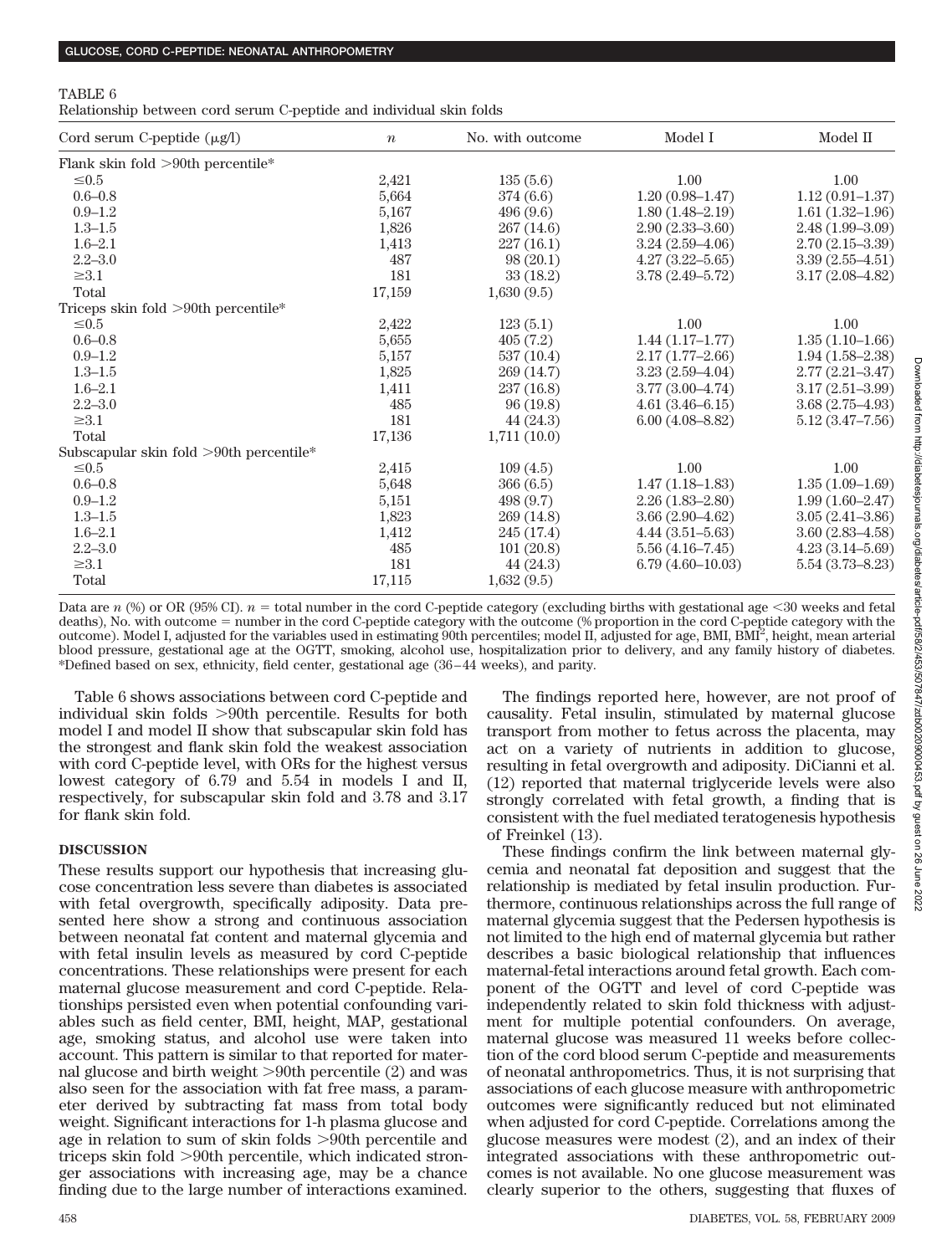Relationship between cord serum C-peptide and individual skin folds

| Cord serum C-peptide $(\mu g/l)$           | $\boldsymbol{n}$ | No. with outcome | Model I             | Model II            |
|--------------------------------------------|------------------|------------------|---------------------|---------------------|
| Flank skin fold >90th percentile*          |                  |                  |                     |                     |
| $\leq 0.5$                                 | 2,421            | 135(5.6)         | 1.00                | 1.00                |
| $0.6 - 0.8$                                | 5,664            | 374 (6.6)        | $1.20(0.98 - 1.47)$ | $1.12(0.91 - 1.37)$ |
| $0.9 - 1.2$                                | 5,167            | 496(9.6)         | $1.80(1.48-2.19)$   | $1.61(1.32-1.96)$   |
| $1.3 - 1.5$                                | 1,826            | 267 (14.6)       | $2.90(2.33 - 3.60)$ | $2.48(1.99-3.09)$   |
| $1.6 - 2.1$                                | 1,413            | 227(16.1)        | $3.24(2.59-4.06)$   | $2.70(2.15-3.39)$   |
| $2.2 - 3.0$                                | 487              | 98(20.1)         | $4.27(3.22 - 5.65)$ | $3.39(2.55-4.51)$   |
| $\geq 3.1$                                 | 181              | 33(18.2)         | $3.78(2.49 - 5.72)$ | $3.17(2.08-4.82)$   |
| Total                                      | 17,159           | 1,630(9.5)       |                     |                     |
| Triceps skin fold $>90$ th percentile*     |                  |                  |                     |                     |
| $\leq 0.5$                                 | 2,422            | 123(5.1)         | 1.00                | 1.00                |
| $0.6 - 0.8$                                | 5,655            | 405(7.2)         | $1.44(1.17-1.77)$   | $1.35(1.10-1.66)$   |
| $0.9 - 1.2$                                | 5,157            | 537(10.4)        | $2.17(1.77-2.66)$   | $1.94(1.58-2.38)$   |
| $1.3 - 1.5$                                | 1,825            | 269 (14.7)       | $3.23(2.59-4.04)$   | $2.77(2.21 - 3.47)$ |
| $1.6 - 2.1$                                | 1,411            | 237 (16.8)       | $3.77(3.00-4.74)$   | $3.17(2.51 - 3.99)$ |
| $2.2 - 3.0$                                | 485              | 96(19.8)         | $4.61(3.46-6.15)$   | $3.68(2.75-4.93)$   |
| $\geq 3.1$                                 | 181              | 44 (24.3)        | $6.00(4.08 - 8.82)$ | $5.12(3.47 - 7.56)$ |
| Total                                      | 17,136           | 1,711(10.0)      |                     |                     |
| Subscapular skin fold $>90$ th percentile* |                  |                  |                     |                     |
| $\leq 0.5$                                 | 2,415            | 109(4.5)         | 1.00                | 1.00                |
| $0.6 - 0.8$                                | 5,648            | 366(6.5)         | $1.47(1.18-1.83)$   | $1.35(1.09-1.69)$   |
| $0.9 - 1.2$                                | 5,151            | 498 (9.7)        | $2.26(1.83 - 2.80)$ | $1.99(1.60 - 2.47)$ |
| $1.3 - 1.5$                                | 1,823            | 269 (14.8)       | $3.66(2.90-4.62)$   | $3.05(2.41 - 3.86)$ |
| $1.6 - 2.1$                                | 1,412            | 245 (17.4)       | $4.44(3.51-5.63)$   | $3.60(2.83-4.58)$   |
| $2.2 - 3.0$                                | 485              | 101(20.8)        | $5.56(4.16-7.45)$   | $4.23(3.14-5.69)$   |
| $\geq 3.1$                                 | 181              | 44 (24.3)        | $6.79(4.60-10.03)$  | $5.54(3.73 - 8.23)$ |
| Total                                      | 17,115           | 1,632(9.5)       |                     |                     |

Data are  $n$  (%) or OR (95% CI).  $n =$  total number in the cord C-peptide category (excluding births with gestational age  $\leq$ 30 weeks and fetal deaths), No. with outcome = number in the cord C-peptide category with the outcome (% proportion in the cord C-peptide category with the outcome). Model I, adjusted for the variables used in estimating 90th percentiles; model II, adjusted for age, BMI, BMI<sup>2</sup>, height, mean arterial blood pressure, gestational age at the OGTT, smoking, alcohol use, hospitalization prior to delivery, and any family history of diabetes. \*Defined based on sex, ethnicity, field center, gestational age (36–44 weeks), and parity.

Table 6 shows associations between cord C-peptide and individual skin folds 90th percentile. Results for both model I and model II show that subscapular skin fold has the strongest and flank skin fold the weakest association with cord C-peptide level, with ORs for the highest versus lowest category of 6.79 and 5.54 in models I and II, respectively, for subscapular skin fold and 3.78 and 3.17 for flank skin fold.

#### **DISCUSSION**

These results support our hypothesis that increasing glucose concentration less severe than diabetes is associated with fetal overgrowth, specifically adiposity. Data presented here show a strong and continuous association between neonatal fat content and maternal glycemia and with fetal insulin levels as measured by cord C-peptide concentrations. These relationships were present for each maternal glucose measurement and cord C-peptide. Relationships persisted even when potential confounding variables such as field center, BMI, height, MAP, gestational age, smoking status, and alcohol use were taken into account. This pattern is similar to that reported for maternal glucose and birth weight  $>90$ th percentile (2) and was also seen for the association with fat free mass, a parameter derived by subtracting fat mass from total body weight. Significant interactions for 1-h plasma glucose and age in relation to sum of skin folds >90th percentile and triceps skin fold >90th percentile, which indicated stronger associations with increasing age, may be a chance finding due to the large number of interactions examined.

The findings reported here, however, are not proof of causality. Fetal insulin, stimulated by maternal glucose transport from mother to fetus across the placenta, may act on a variety of nutrients in addition to glucose, resulting in fetal overgrowth and adiposity. DiCianni et al. (12) reported that maternal triglyceride levels were also strongly correlated with fetal growth, a finding that is consistent with the fuel mediated teratogenesis hypothesis of Freinkel (13).

These findings confirm the link between maternal glycemia and neonatal fat deposition and suggest that the relationship is mediated by fetal insulin production. Furthermore, continuous relationships across the full range of maternal glycemia suggest that the Pedersen hypothesis is not limited to the high end of maternal glycemia but rather describes a basic biological relationship that influences maternal-fetal interactions around fetal growth. Each component of the OGTT and level of cord C-peptide was independently related to skin fold thickness with adjustment for multiple potential confounders. On average, maternal glucose was measured 11 weeks before collection of the cord blood serum C-peptide and measurements of neonatal anthropometrics. Thus, it is not surprising that associations of each glucose measure with anthropometric outcomes were significantly reduced but not eliminated when adjusted for cord C-peptide. Correlations among the glucose measures were modest (2), and an index of their integrated associations with these anthropometric outcomes is not available. No one glucose measurement was clearly superior to the others, suggesting that fluxes of

TABLE 6